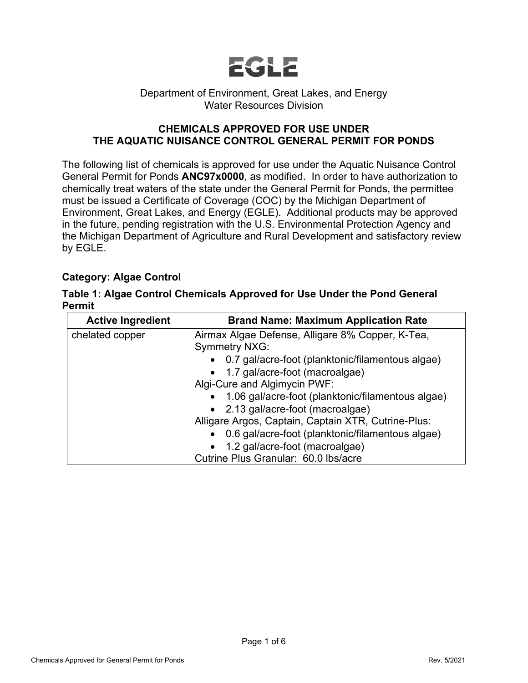

#### Department of Environment, Great Lakes, and Energy Water Resources Division

### **CHEMICALS APPROVED FOR USE UNDER THE AQUATIC NUISANCE CONTROL GENERAL PERMIT FOR PONDS**

The following list of chemicals is approved for use under the Aquatic Nuisance Control General Permit for Ponds **ANC97x0000**, as modified. In order to have authorization to chemically treat waters of the state under the General Permit for Ponds, the permittee must be issued a Certificate of Coverage (COC) by the Michigan Department of Environment, Great Lakes, and Energy (EGLE). Additional products may be approved in the future, pending registration with the U.S. Environmental Protection Agency and the Michigan Department of Agriculture and Rural Development and satisfactory review by EGLE.

### **Category: Algae Control**

|               | Table 1: Algae Control Chemicals Approved for Use Under the Pond General |
|---------------|--------------------------------------------------------------------------|
| <b>Permit</b> |                                                                          |

| <b>Active Ingredient</b> | <b>Brand Name: Maximum Application Rate</b>         |  |  |  |
|--------------------------|-----------------------------------------------------|--|--|--|
| chelated copper          | Airmax Algae Defense, Alligare 8% Copper, K-Tea,    |  |  |  |
|                          | <b>Symmetry NXG:</b>                                |  |  |  |
|                          | • 0.7 gal/acre-foot (planktonic/filamentous algae)  |  |  |  |
|                          | • 1.7 gal/acre-foot (macroalgae)                    |  |  |  |
|                          | Algi-Cure and Algimycin PWF:                        |  |  |  |
|                          | • 1.06 gal/acre-foot (planktonic/filamentous algae) |  |  |  |
|                          | • 2.13 gal/acre-foot (macroalgae)                   |  |  |  |
|                          | Alligare Argos, Captain, Captain XTR, Cutrine-Plus: |  |  |  |
|                          | • 0.6 gal/acre-foot (planktonic/filamentous algae)  |  |  |  |
|                          | • 1.2 gal/acre-foot (macroalgae)                    |  |  |  |
|                          | Cutrine Plus Granular: 60.0 lbs/acre                |  |  |  |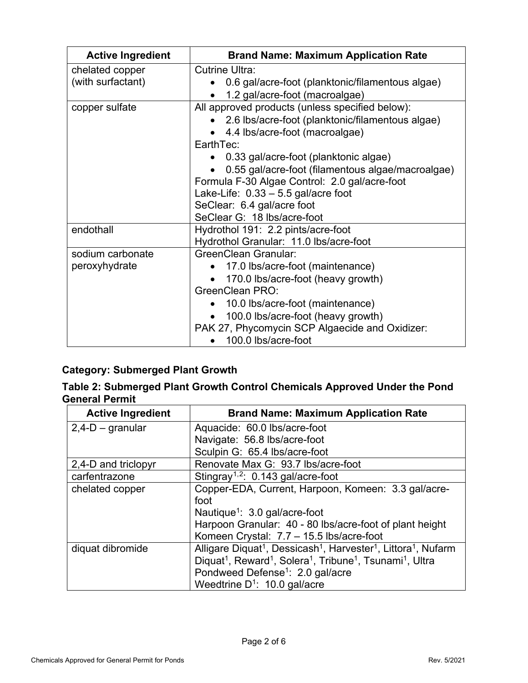| <b>Active Ingredient</b> | <b>Brand Name: Maximum Application Rate</b>                   |  |  |  |  |
|--------------------------|---------------------------------------------------------------|--|--|--|--|
| chelated copper          | <b>Cutrine Ultra:</b>                                         |  |  |  |  |
| (with surfactant)        | 0.6 gal/acre-foot (planktonic/filamentous algae)              |  |  |  |  |
|                          | 1.2 gal/acre-foot (macroalgae)<br>$\bullet$                   |  |  |  |  |
| copper sulfate           | All approved products (unless specified below):               |  |  |  |  |
|                          | 2.6 lbs/acre-foot (planktonic/filamentous algae)<br>$\bullet$ |  |  |  |  |
|                          | 4.4 lbs/acre-foot (macroalgae)                                |  |  |  |  |
|                          | EarthTec:                                                     |  |  |  |  |
|                          | • 0.33 gal/acre-foot (planktonic algae)                       |  |  |  |  |
|                          | 0.55 gal/acre-foot (filamentous algae/macroalgae)             |  |  |  |  |
|                          | Formula F-30 Algae Control: 2.0 gal/acre-foot                 |  |  |  |  |
|                          | Lake-Life: $0.33 - 5.5$ gal/acre foot                         |  |  |  |  |
|                          | SeClear: 6.4 gal/acre foot                                    |  |  |  |  |
|                          | SeClear G: 18 lbs/acre-foot                                   |  |  |  |  |
| endothall                | Hydrothol 191: 2.2 pints/acre-foot                            |  |  |  |  |
|                          | Hydrothol Granular: 11.0 lbs/acre-foot                        |  |  |  |  |
| sodium carbonate         | <b>GreenClean Granular:</b>                                   |  |  |  |  |
| peroxyhydrate            | • 17.0 lbs/acre-foot (maintenance)                            |  |  |  |  |
|                          | 170.0 lbs/acre-foot (heavy growth)                            |  |  |  |  |
|                          | GreenClean PRO:                                               |  |  |  |  |
|                          | 10.0 lbs/acre-foot (maintenance)                              |  |  |  |  |
|                          | 100.0 lbs/acre-foot (heavy growth)                            |  |  |  |  |
|                          | PAK 27, Phycomycin SCP Algaecide and Oxidizer:                |  |  |  |  |
|                          | 100.0 lbs/acre-foot<br>$\bullet$                              |  |  |  |  |

## **Category: Submerged Plant Growth**

|                       | Table 2: Submerged Plant Growth Control Chemicals Approved Under the Pond |  |  |
|-----------------------|---------------------------------------------------------------------------|--|--|
| <b>General Permit</b> |                                                                           |  |  |

<span id="page-1-1"></span><span id="page-1-0"></span>

| <b>Active Ingredient</b> | <b>Brand Name: Maximum Application Rate</b>                                                                           |
|--------------------------|-----------------------------------------------------------------------------------------------------------------------|
| $2,4-D$ – granular       | Aquacide: 60.0 lbs/acre-foot                                                                                          |
|                          | Navigate: 56.8 lbs/acre-foot                                                                                          |
|                          | Sculpin G: 65.4 lbs/acre-foot                                                                                         |
| 2,4-D and triclopyr      | Renovate Max G: 93.7 lbs/acre-foot                                                                                    |
| carfentrazone            | Stingray <sup>1,2</sup> : $0.143$ gal/acre-foot                                                                       |
| chelated copper          | Copper-EDA, Current, Harpoon, Komeen: 3.3 gal/acre-                                                                   |
|                          | foot                                                                                                                  |
|                          | Nautique <sup>1</sup> : $3.0$ gal/acre-foot                                                                           |
|                          | Harpoon Granular: 40 - 80 lbs/acre-foot of plant height                                                               |
|                          | Komeen Crystal: 7.7 - 15.5 lbs/acre-foot                                                                              |
| diquat dibromide         | Alligare Diquat <sup>1</sup> , Dessicash <sup>1</sup> , Harvester <sup>1</sup> , Littora <sup>1</sup> , Nufarm        |
|                          | Diquat <sup>1</sup> , Reward <sup>1</sup> , Solera <sup>1</sup> , Tribune <sup>1</sup> , Tsunami <sup>1</sup> , Ultra |
|                          | Pondweed Defense <sup>1</sup> : 2.0 gal/acre                                                                          |
|                          | Weedtrine $D^1$ : 10.0 gal/acre                                                                                       |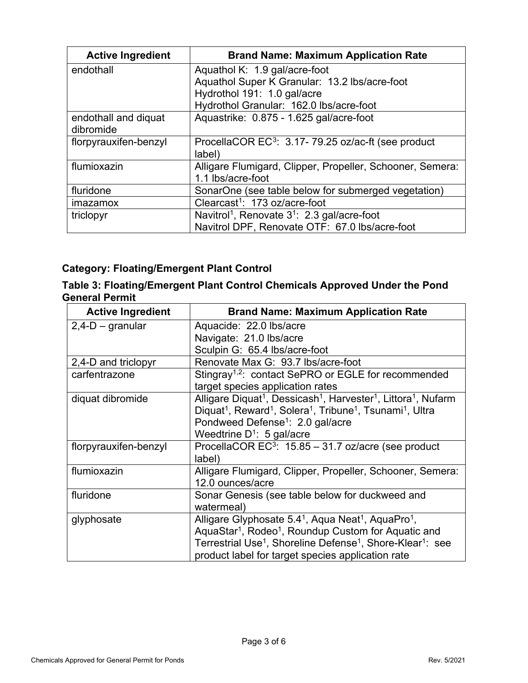<span id="page-2-0"></span>

| <b>Active Ingredient</b>          | <b>Brand Name: Maximum Application Rate</b>                         |
|-----------------------------------|---------------------------------------------------------------------|
| endothall                         | Aquathol K: 1.9 gal/acre-foot                                       |
|                                   | Aquathol Super K Granular: 13.2 lbs/acre-foot                       |
|                                   | Hydrothol 191: 1.0 gal/acre                                         |
|                                   | Hydrothol Granular: 162.0 lbs/acre-foot                             |
| endothall and diquat<br>dibromide | Aquastrike: 0.875 - 1.625 gal/acre-foot                             |
| florpyrauxifen-benzyl             | ProcellaCOR EC <sup>3</sup> : 3.17-79.25 oz/ac-ft (see product      |
|                                   | label)                                                              |
| flumioxazin                       | Alligare Flumigard, Clipper, Propeller, Schooner, Semera:           |
|                                   | 1.1 lbs/acre-foot                                                   |
| fluridone                         | SonarOne (see table below for submerged vegetation)                 |
| imazamox                          | Clearcast <sup>1</sup> : 173 oz/acre-foot                           |
| triclopyr                         | Navitrol <sup>1</sup> , Renovate 3 <sup>1</sup> : 2.3 gal/acre-foot |
|                                   | Navitrol DPF, Renovate OTF: 67.0 lbs/acre-foot                      |

# **Category: Floating/Emergent Plant Control**

| Table 3: Floating/Emergent Plant Control Chemicals Approved Under the Pond |  |
|----------------------------------------------------------------------------|--|
| <b>General Permit</b>                                                      |  |

| <b>Active Ingredient</b> | <b>Brand Name: Maximum Application Rate</b>                                                                           |
|--------------------------|-----------------------------------------------------------------------------------------------------------------------|
| $2,4$ -D – granular      | Aquacide: 22.0 lbs/acre                                                                                               |
|                          | Navigate: 21.0 lbs/acre                                                                                               |
|                          | Sculpin G: 65.4 lbs/acre-foot                                                                                         |
| 2,4-D and triclopyr      | Renovate Max G: 93.7 lbs/acre-foot                                                                                    |
| carfentrazone            | Stingray <sup>1,2</sup> : contact SePRO or EGLE for recommended                                                       |
|                          | target species application rates                                                                                      |
| diquat dibromide         | Alligare Diquat <sup>1</sup> , Dessicash <sup>1</sup> , Harvester <sup>1</sup> , Littora <sup>1</sup> , Nufarm        |
|                          | Diquat <sup>1</sup> , Reward <sup>1</sup> , Solera <sup>1</sup> , Tribune <sup>1</sup> , Tsunami <sup>1</sup> , Ultra |
|                          | Pondweed Defense <sup>1</sup> : 2.0 gal/acre                                                                          |
|                          | Weedtrine $D^1$ : 5 gal/acre                                                                                          |
| florpyrauxifen-benzyl    | ProcellaCOR EC <sup>3</sup> : 15.85 - 31.7 oz/acre (see product                                                       |
|                          | label)                                                                                                                |
| flumioxazin              | Alligare Flumigard, Clipper, Propeller, Schooner, Semera:                                                             |
|                          | 12.0 ounces/acre                                                                                                      |
| fluridone                | Sonar Genesis (see table below for duckweed and                                                                       |
|                          | watermeal)                                                                                                            |
| glyphosate               | Alligare Glyphosate 5.4 <sup>1</sup> , Aqua Neat <sup>1</sup> , AquaPro <sup>1</sup> ,                                |
|                          | AquaStar <sup>1</sup> , Rodeo <sup>1</sup> , Roundup Custom for Aquatic and                                           |
|                          | Terrestrial Use <sup>1</sup> , Shoreline Defense <sup>1</sup> , Shore-Klear <sup>1</sup> : see                        |
|                          | product label for target species application rate                                                                     |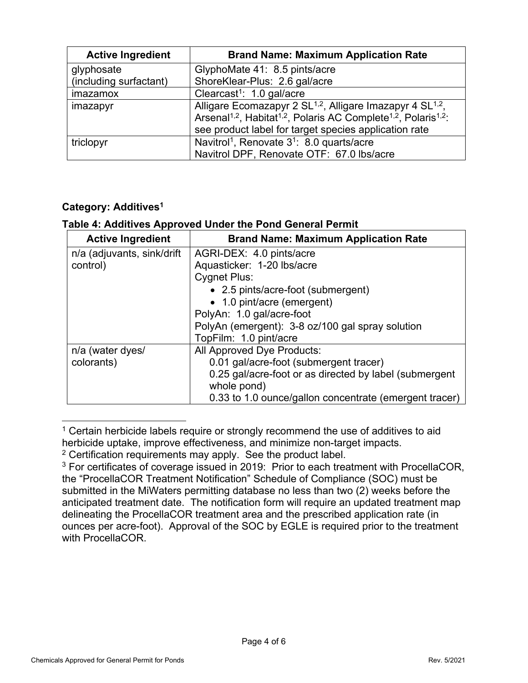| <b>Active Ingredient</b> | <b>Brand Name: Maximum Application Rate</b>                                                                                                                                                                                                                   |
|--------------------------|---------------------------------------------------------------------------------------------------------------------------------------------------------------------------------------------------------------------------------------------------------------|
| glyphosate               | GlyphoMate 41: 8.5 pints/acre                                                                                                                                                                                                                                 |
| (including surfactant)   | ShoreKlear-Plus: 2.6 gal/acre                                                                                                                                                                                                                                 |
| imazamox                 | Clearcast <sup>1</sup> : $1.0$ gal/acre                                                                                                                                                                                                                       |
| imazapyr                 | Alligare Ecomazapyr 2 SL <sup>1,2</sup> , Alligare Imazapyr 4 SL <sup>1,2</sup> ,<br>Arsenal <sup>1,2</sup> , Habitat <sup>1,2</sup> , Polaris AC Complete <sup>1,2</sup> , Polaris <sup>1,2</sup> :<br>see product label for target species application rate |
| triclopyr                | Navitrol <sup>1</sup> , Renovate 3 <sup>1</sup> : 8.0 quarts/acre<br>Navitrol DPF, Renovate OTF: 67.0 lbs/acre                                                                                                                                                |

### **Category: Additive[s1](#page-1-0)**

### **Table 4: Additives Approved Under the Pond General Permit**

| <b>Active Ingredient</b>   | <b>Brand Name: Maximum Application Rate</b>            |
|----------------------------|--------------------------------------------------------|
| n/a (adjuvants, sink/drift | AGRI-DEX: 4.0 pints/acre                               |
| control)                   | Aquasticker: 1-20 lbs/acre                             |
|                            | <b>Cygnet Plus:</b>                                    |
|                            | • 2.5 pints/acre-foot (submergent)                     |
|                            | • 1.0 pint/acre (emergent)                             |
|                            | PolyAn: 1.0 gal/acre-foot                              |
|                            | PolyAn (emergent): 3-8 oz/100 gal spray solution       |
|                            | TopFilm: 1.0 pint/acre                                 |
| n/a (water dyes/           | All Approved Dye Products:                             |
| colorants)                 | 0.01 gal/acre-foot (submergent tracer)                 |
|                            | 0.25 gal/acre-foot or as directed by label (submergent |
|                            | whole pond)                                            |
|                            | 0.33 to 1.0 ounce/gallon concentrate (emergent tracer) |

<span id="page-3-0"></span> $1$  Certain herbicide labels require or strongly recommend the use of additives to aid herbicide uptake, improve effectiveness, and minimize non-target impacts.

<span id="page-3-1"></span> $2$  Certification requirements may apply. See the product label.

<span id="page-3-2"></span><sup>&</sup>lt;sup>3</sup> For certificates of coverage issued in 2019: Prior to each treatment with ProcellaCOR, the "ProcellaCOR Treatment Notification" Schedule of Compliance (SOC) must be submitted in the MiWaters permitting database no less than two (2) weeks before the anticipated treatment date. The notification form will require an updated treatment map delineating the ProcellaCOR treatment area and the prescribed application rate (in ounces per acre-foot). Approval of the SOC by EGLE is required prior to the treatment with ProcellaCOR.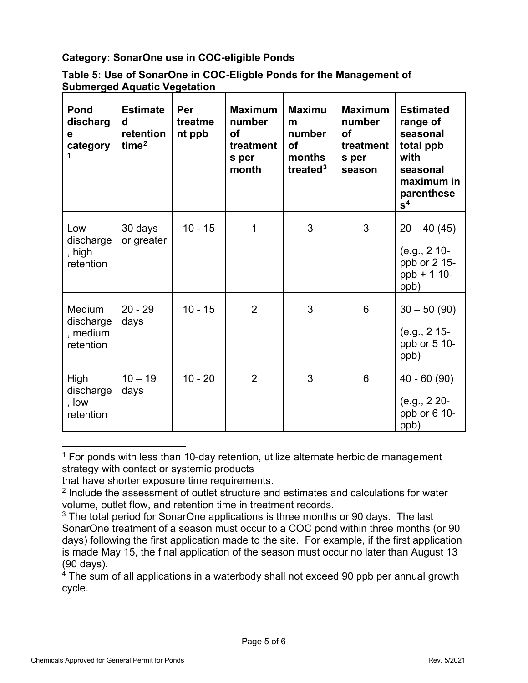**Category: SonarOne use in COC-eligible Ponds**

| Table 5: Use of SonarOne in COC-Eligble Ponds for the Management of |  |
|---------------------------------------------------------------------|--|
| <b>Submerged Aquatic Vegetation</b>                                 |  |

| <b>Pond</b><br>discharg<br>е<br>category     | <b>Estimate</b><br>d<br>retention<br>time <sup>2</sup> | Per<br>treatme<br>nt ppb | <b>Maximum</b><br>number<br><b>of</b><br>treatment<br>s per<br>month | <b>Maximu</b><br>m<br>number<br><b>of</b><br>months<br>treated $3$ | <b>Maximum</b><br>number<br><b>of</b><br>treatment<br>s per<br>season | <b>Estimated</b><br>range of<br>seasonal<br>total ppb<br>with<br>seasonal<br>maximum in<br>parenthese<br>$\mathbf{s}^4$ |
|----------------------------------------------|--------------------------------------------------------|--------------------------|----------------------------------------------------------------------|--------------------------------------------------------------------|-----------------------------------------------------------------------|-------------------------------------------------------------------------------------------------------------------------|
| Low<br>discharge<br>, high<br>retention      | 30 days<br>or greater                                  | $10 - 15$                | 1                                                                    | 3                                                                  | 3                                                                     | $20 - 40(45)$<br>$(e.g., 2 10-$<br>ppb or 2 15-<br>$ppb + 110-$<br>ppb)                                                 |
| Medium<br>discharge<br>, medium<br>retention | $20 - 29$<br>days                                      | $10 - 15$                | $\overline{2}$                                                       | 3                                                                  | 6                                                                     | $30 - 50(90)$<br>$(e.g., 2 15-)$<br>ppb or 5 10-<br>ppb)                                                                |
| High<br>discharge<br>, low<br>retention      | $10 - 19$<br>days                                      | $10 - 20$                | $\overline{2}$                                                       | 3                                                                  | 6                                                                     | $40 - 60(90)$<br>(e.g., 2 20-<br>ppb or 6 10-<br>ppb)                                                                   |

<span id="page-4-0"></span> $1$  For ponds with less than 10-day retention, utilize alternate herbicide management strategy with contact or systemic products

that have shorter exposure time requirements.

<span id="page-4-3"></span> $4$  The sum of all applications in a waterbody shall not exceed 90 ppb per annual growth cycle.

<sup>&</sup>lt;sup>2</sup> Include the assessment of outlet structure and estimates and calculations for water volume, outlet flow, and retention time in treatment records.

<span id="page-4-2"></span><span id="page-4-1"></span> $3$  The total period for SonarOne applications is three months or 90 days. The last SonarOne treatment of a season must occur to a COC pond within three months (or 90 days) following the first application made to the site. For example, if the first application is made May 15, the final application of the season must occur no later than August 13 (90 days).